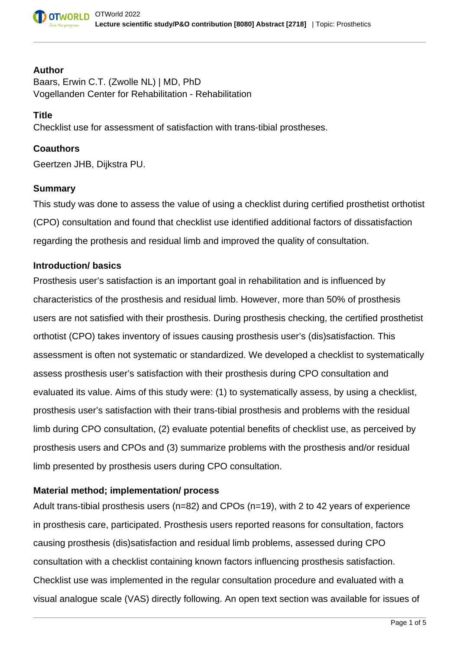

#### **Author**

Baars, Erwin C.T. (Zwolle NL) | MD, PhD Vogellanden Center for Rehabilitation - Rehabilitation

#### **Title**

Checklist use for assessment of satisfaction with trans-tibial prostheses.

# **Coauthors**

Geertzen JHB, Dijkstra PU.

## **Summary**

This study was done to assess the value of using a checklist during certified prosthetist orthotist (CPO) consultation and found that checklist use identified additional factors of dissatisfaction regarding the prothesis and residual limb and improved the quality of consultation.

## **Introduction/ basics**

Prosthesis user's satisfaction is an important goal in rehabilitation and is influenced by characteristics of the prosthesis and residual limb. However, more than 50% of prosthesis users are not satisfied with their prosthesis. During prosthesis checking, the certified prosthetist orthotist (CPO) takes inventory of issues causing prosthesis user's (dis)satisfaction. This assessment is often not systematic or standardized. We developed a checklist to systematically assess prosthesis user's satisfaction with their prosthesis during CPO consultation and evaluated its value. Aims of this study were: (1) to systematically assess, by using a checklist, prosthesis user's satisfaction with their trans-tibial prosthesis and problems with the residual limb during CPO consultation, (2) evaluate potential benefits of checklist use, as perceived by prosthesis users and CPOs and (3) summarize problems with the prosthesis and/or residual limb presented by prosthesis users during CPO consultation.

# **Material method; implementation/ process**

Adult trans-tibial prosthesis users (n=82) and CPOs (n=19), with 2 to 42 years of experience in prosthesis care, participated. Prosthesis users reported reasons for consultation, factors causing prosthesis (dis)satisfaction and residual limb problems, assessed during CPO consultation with a checklist containing known factors influencing prosthesis satisfaction. Checklist use was implemented in the regular consultation procedure and evaluated with a visual analogue scale (VAS) directly following. An open text section was available for issues of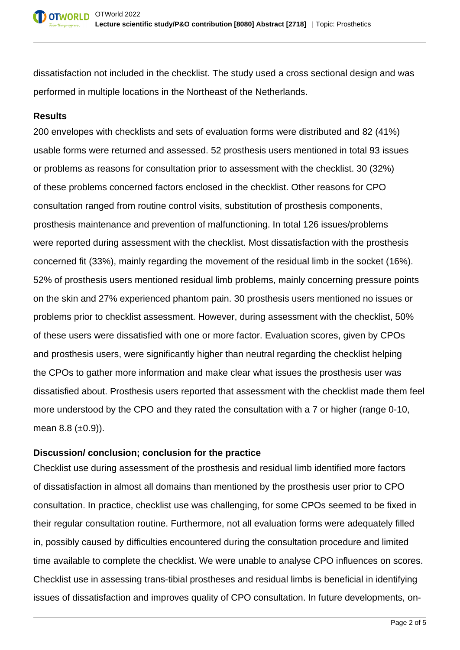dissatisfaction not included in the checklist. The study used a cross sectional design and was performed in multiple locations in the Northeast of the Netherlands.

# **Results**

200 envelopes with checklists and sets of evaluation forms were distributed and 82 (41%) usable forms were returned and assessed. 52 prosthesis users mentioned in total 93 issues or problems as reasons for consultation prior to assessment with the checklist. 30 (32%) of these problems concerned factors enclosed in the checklist. Other reasons for CPO consultation ranged from routine control visits, substitution of prosthesis components, prosthesis maintenance and prevention of malfunctioning. In total 126 issues/problems were reported during assessment with the checklist. Most dissatisfaction with the prosthesis concerned fit (33%), mainly regarding the movement of the residual limb in the socket (16%). 52% of prosthesis users mentioned residual limb problems, mainly concerning pressure points on the skin and 27% experienced phantom pain. 30 prosthesis users mentioned no issues or problems prior to checklist assessment. However, during assessment with the checklist, 50% of these users were dissatisfied with one or more factor. Evaluation scores, given by CPOs and prosthesis users, were significantly higher than neutral regarding the checklist helping the CPOs to gather more information and make clear what issues the prosthesis user was dissatisfied about. Prosthesis users reported that assessment with the checklist made them feel more understood by the CPO and they rated the consultation with a 7 or higher (range 0-10, mean  $8.8$  ( $\pm 0.9$ )).

# **Discussion/ conclusion; conclusion for the practice**

Checklist use during assessment of the prosthesis and residual limb identified more factors of dissatisfaction in almost all domains than mentioned by the prosthesis user prior to CPO consultation. In practice, checklist use was challenging, for some CPOs seemed to be fixed in their regular consultation routine. Furthermore, not all evaluation forms were adequately filled in, possibly caused by difficulties encountered during the consultation procedure and limited time available to complete the checklist. We were unable to analyse CPO influences on scores. Checklist use in assessing trans-tibial prostheses and residual limbs is beneficial in identifying issues of dissatisfaction and improves quality of CPO consultation. In future developments, on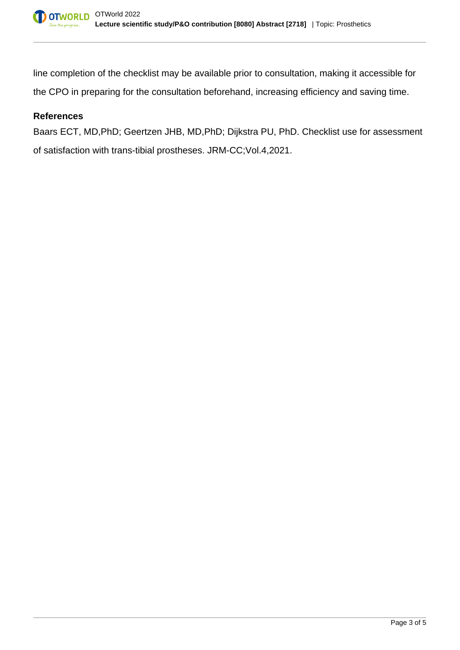line completion of the checklist may be available prior to consultation, making it accessible for the CPO in preparing for the consultation beforehand, increasing efficiency and saving time.

# **References**

Baars ECT, MD,PhD; Geertzen JHB, MD,PhD; Dijkstra PU, PhD. Checklist use for assessment of satisfaction with trans-tibial prostheses. JRM-CC;Vol.4,2021.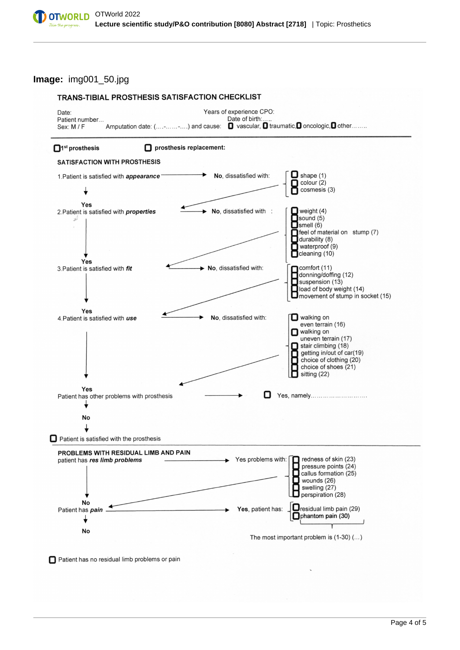**Image:** img001\_50.jpg



Patient has no residual limb problems or pain